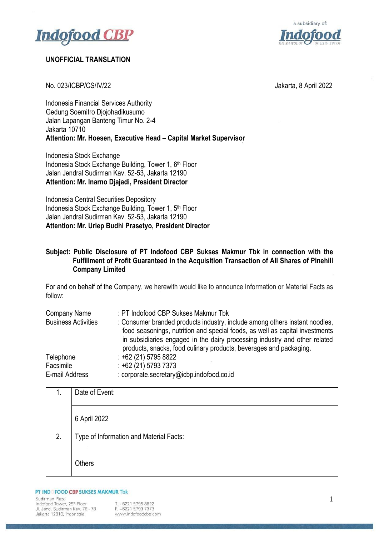



## **UNOFFICIAL TRANSLATION**

No. 023/ICBP/CS/IV/22 Jakarta, 8 April 2022

Indonesia Financial Services Authority Gedung Soemitro Djojohadikusumo Jalan Lapangan Banteng Timur No. 2-4 Jakarta 10710 **Attention: Mr. Hoesen, Executive Head – Capital Market Supervisor**

Indonesia Stock Exchange Indonesia Stock Exchange Building, Tower 1, 6<sup>th</sup> Floor Jalan Jendral Sudirman Kav. 52-53, Jakarta 12190 **Attention: Mr. Inarno Djajadi, President Director**

Indonesia Central Securities Depository Indonesia Stock Exchange Building, Tower 1, 5<sup>th</sup> Floor Jalan Jendral Sudirman Kav. 52-53, Jakarta 12190 **Attention: Mr. Uriep Budhi Prasetyo, President Director**

## **Subject: Public Disclosure of PT Indofood CBP Sukses Makmur Tbk in connection with the Fulfillment of Profit Guaranteed in the Acquisition Transaction of All Shares of Pinehill Company Limited**

For and on behalf of the Company, we herewith would like to announce Information or Material Facts as follow:

| Company Name               | : PT Indofood CBP Sukses Makmur Tbk                                                                                                                                                                                                                                                                             |
|----------------------------|-----------------------------------------------------------------------------------------------------------------------------------------------------------------------------------------------------------------------------------------------------------------------------------------------------------------|
| <b>Business Activities</b> | : Consumer branded products industry, include among others instant noodles,<br>food seasonings, nutrition and special foods, as well as capital investments<br>in subsidiaries engaged in the dairy processing industry and other related<br>products, snacks, food culinary products, beverages and packaging. |
| Telephone                  | $: +62(21)57958822$                                                                                                                                                                                                                                                                                             |
| Facsimile                  | $: +62(21)$ 5793 7373                                                                                                                                                                                                                                                                                           |
| E-mail Address             | : corporate.secretary@icbp.indofood.co.id                                                                                                                                                                                                                                                                       |

| 1. | Date of Event:                          |
|----|-----------------------------------------|
|    | 6 April 2022                            |
| 2. | Type of Information and Material Facts: |
|    | Others                                  |

PT IND FOOD CBP SUKSES MAKMUR Tbk

Sudirman Plaza Indofood Tower, 25th Floor Jl. Jend. Sudirman Kav. 76 - 78 Jakarta 12910, Indonesia

T. +6221 5795 8822 F. +6221 5793 7373 www.indofoodcbp.com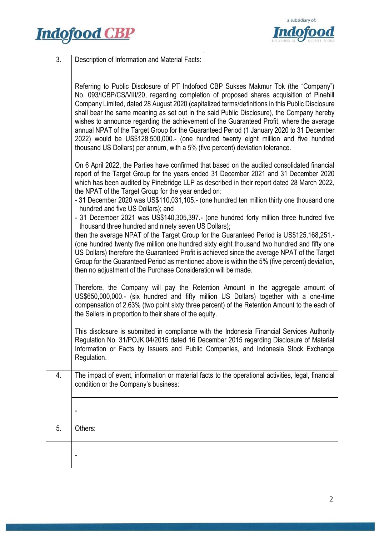



| 3. | Description of Information and Material Facts:                                                                                                                                                                                                                                                                                                                                                                                                                                                                                                                                                                                                                                                                                                                                                                                                                                                                                                                                                                                                                                              |  |  |
|----|---------------------------------------------------------------------------------------------------------------------------------------------------------------------------------------------------------------------------------------------------------------------------------------------------------------------------------------------------------------------------------------------------------------------------------------------------------------------------------------------------------------------------------------------------------------------------------------------------------------------------------------------------------------------------------------------------------------------------------------------------------------------------------------------------------------------------------------------------------------------------------------------------------------------------------------------------------------------------------------------------------------------------------------------------------------------------------------------|--|--|
|    | Referring to Public Disclosure of PT Indofood CBP Sukses Makmur Tbk (the "Company")<br>No. 093/ICBP/CS/VIII/20, regarding completion of proposed shares acquisition of Pinehill<br>Company Limited, dated 28 August 2020 (capitalized terms/definitions in this Public Disclosure<br>shall bear the same meaning as set out in the said Public Disclosure), the Company hereby<br>wishes to announce regarding the achievement of the Guaranteed Profit, where the average<br>annual NPAT of the Target Group for the Guaranteed Period (1 January 2020 to 31 December<br>2022) would be US\$128,500,000.- (one hundred twenty eight million and five hundred<br>thousand US Dollars) per annum, with a 5% (five percent) deviation tolerance.                                                                                                                                                                                                                                                                                                                                              |  |  |
|    | On 6 April 2022, the Parties have confirmed that based on the audited consolidated financial<br>report of the Target Group for the years ended 31 December 2021 and 31 December 2020<br>which has been audited by Pinebridge LLP as described in their report dated 28 March 2022,<br>the NPAT of the Target Group for the year ended on:<br>- 31 December 2020 was US\$110,031,105.- (one hundred ten million thirty one thousand one<br>hundred and five US Dollars); and<br>- 31 December 2021 was US\$140,305,397 .- (one hundred forty million three hundred five<br>thousand three hundred and ninety seven US Dollars);<br>then the average NPAT of the Target Group for the Guaranteed Period is US\$125,168,251.<br>(one hundred twenty five million one hundred sixty eight thousand two hundred and fifty one<br>US Dollars) therefore the Guaranteed Profit is achieved since the average NPAT of the Target<br>Group for the Guaranteed Period as mentioned above is within the 5% (five percent) deviation,<br>then no adjustment of the Purchase Consideration will be made. |  |  |
|    | Therefore, the Company will pay the Retention Amount in the aggregate amount of<br>US\$650,000,000.- (six hundred and fifty million US Dollars) together with a one-time<br>compensation of 2.63% (two point sixty three percent) of the Retention Amount to the each of<br>the Sellers in proportion to their share of the equity.                                                                                                                                                                                                                                                                                                                                                                                                                                                                                                                                                                                                                                                                                                                                                         |  |  |
|    | This disclosure is submitted in compliance with the Indonesia Financial Services Authority<br>Regulation No. 31/POJK.04/2015 dated 16 December 2015 regarding Disclosure of Material<br>Information or Facts by Issuers and Public Companies, and Indonesia Stock Exchange<br>Regulation.                                                                                                                                                                                                                                                                                                                                                                                                                                                                                                                                                                                                                                                                                                                                                                                                   |  |  |
| 4. | The impact of event, information or material facts to the operational activities, legal, financial<br>condition or the Company's business:                                                                                                                                                                                                                                                                                                                                                                                                                                                                                                                                                                                                                                                                                                                                                                                                                                                                                                                                                  |  |  |
|    |                                                                                                                                                                                                                                                                                                                                                                                                                                                                                                                                                                                                                                                                                                                                                                                                                                                                                                                                                                                                                                                                                             |  |  |
| 5. | Others:                                                                                                                                                                                                                                                                                                                                                                                                                                                                                                                                                                                                                                                                                                                                                                                                                                                                                                                                                                                                                                                                                     |  |  |
|    |                                                                                                                                                                                                                                                                                                                                                                                                                                                                                                                                                                                                                                                                                                                                                                                                                                                                                                                                                                                                                                                                                             |  |  |